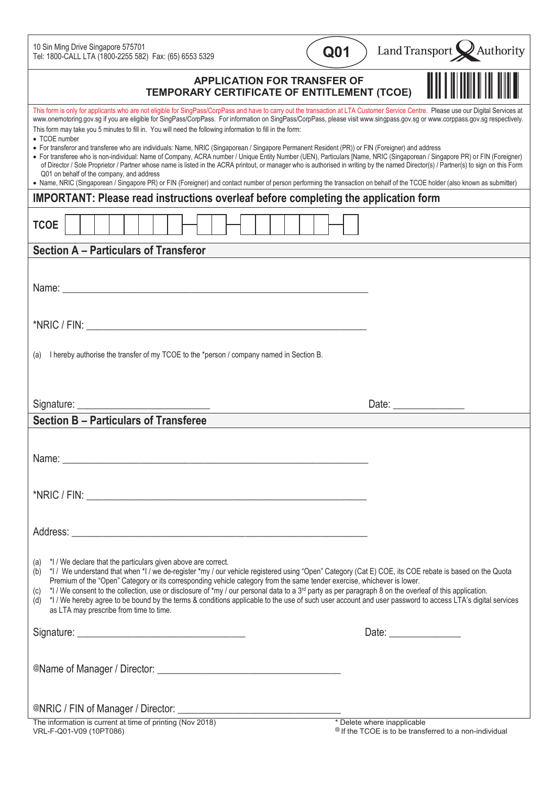10 Sin Ming Drive Singapore 575701 Tel: 1800-CALL LTA (1800-2255 582) Fax: (65) 6553 5329

| Q <sub>01</sub> |  |
|-----------------|--|
|                 |  |

Land Transport  $\bigotimes$  Authority

| <b>APPLICATION FOR TRANSFER OF</b><br>TEMPORARY CERTIFICATE OF ENTITLEMENT (TCOE)                                                                                                                                                                                                                                                                                                                                                                                                                                                                                    |                                                                                                                                                                                                                                                                                                                                                                                                                          |  |  |
|----------------------------------------------------------------------------------------------------------------------------------------------------------------------------------------------------------------------------------------------------------------------------------------------------------------------------------------------------------------------------------------------------------------------------------------------------------------------------------------------------------------------------------------------------------------------|--------------------------------------------------------------------------------------------------------------------------------------------------------------------------------------------------------------------------------------------------------------------------------------------------------------------------------------------------------------------------------------------------------------------------|--|--|
| This form is only for applicants who are not eligible for SingPass/CorpPass and have to carry out the transaction at LTA Customer Service Centre. Please use our Digital Services at<br>www.onemotoring.gov.sg if you are eligible for SingPass/CorpPass. For information on SingPass/CorpPass, please visit www.singpass.gov.sg or www.corppass.gov.sg respectively.<br>This form may take you 5 minutes to fill in. You will need the following information to fill in the form:<br>• TCOE number                                                                  |                                                                                                                                                                                                                                                                                                                                                                                                                          |  |  |
| • For transferor and transferee who are individuals: Name, NRIC (Singaporean / Singapore Permanent Resident (PR)) or FIN (Foreigner) and address<br>• For transferee who is non-individual: Name of Company, ACRA number / Unique Entity Number (UEN), Particulars [Name, NRIC (Singaporean / Singapore PR) or FIN (Foreigner)<br>of Director / Sole Proprietor / Partner whose name is listed in the ACRA printout, or manager who is authorised in writing by the named Director(s) / Partner(s) to sign on this Form<br>Q01 on behalf of the company, and address |                                                                                                                                                                                                                                                                                                                                                                                                                          |  |  |
| • Name, NRIC (Singaporean / Singapore PR) or FIN (Foreigner) and contact number of person performing the transaction on behalf of the TCOE holder (also known as submitter)                                                                                                                                                                                                                                                                                                                                                                                          |                                                                                                                                                                                                                                                                                                                                                                                                                          |  |  |
| <b>IMPORTANT: Please read instructions overleaf before completing the application form</b>                                                                                                                                                                                                                                                                                                                                                                                                                                                                           |                                                                                                                                                                                                                                                                                                                                                                                                                          |  |  |
| <b>TCOE</b>                                                                                                                                                                                                                                                                                                                                                                                                                                                                                                                                                          |                                                                                                                                                                                                                                                                                                                                                                                                                          |  |  |
| <b>Section A - Particulars of Transferor</b>                                                                                                                                                                                                                                                                                                                                                                                                                                                                                                                         |                                                                                                                                                                                                                                                                                                                                                                                                                          |  |  |
|                                                                                                                                                                                                                                                                                                                                                                                                                                                                                                                                                                      |                                                                                                                                                                                                                                                                                                                                                                                                                          |  |  |
|                                                                                                                                                                                                                                                                                                                                                                                                                                                                                                                                                                      |                                                                                                                                                                                                                                                                                                                                                                                                                          |  |  |
|                                                                                                                                                                                                                                                                                                                                                                                                                                                                                                                                                                      |                                                                                                                                                                                                                                                                                                                                                                                                                          |  |  |
|                                                                                                                                                                                                                                                                                                                                                                                                                                                                                                                                                                      |                                                                                                                                                                                                                                                                                                                                                                                                                          |  |  |
|                                                                                                                                                                                                                                                                                                                                                                                                                                                                                                                                                                      |                                                                                                                                                                                                                                                                                                                                                                                                                          |  |  |
| I hereby authorise the transfer of my TCOE to the *person / company named in Section B.<br>(a)                                                                                                                                                                                                                                                                                                                                                                                                                                                                       |                                                                                                                                                                                                                                                                                                                                                                                                                          |  |  |
|                                                                                                                                                                                                                                                                                                                                                                                                                                                                                                                                                                      |                                                                                                                                                                                                                                                                                                                                                                                                                          |  |  |
|                                                                                                                                                                                                                                                                                                                                                                                                                                                                                                                                                                      |                                                                                                                                                                                                                                                                                                                                                                                                                          |  |  |
|                                                                                                                                                                                                                                                                                                                                                                                                                                                                                                                                                                      |                                                                                                                                                                                                                                                                                                                                                                                                                          |  |  |
|                                                                                                                                                                                                                                                                                                                                                                                                                                                                                                                                                                      | Date: $\frac{1}{\sqrt{1-\frac{1}{2}}}\frac{1}{\sqrt{1-\frac{1}{2}}}\frac{1}{\sqrt{1-\frac{1}{2}}}\frac{1}{\sqrt{1-\frac{1}{2}}}\frac{1}{\sqrt{1-\frac{1}{2}}}\frac{1}{\sqrt{1-\frac{1}{2}}}\frac{1}{\sqrt{1-\frac{1}{2}}}\frac{1}{\sqrt{1-\frac{1}{2}}}\frac{1}{\sqrt{1-\frac{1}{2}}}\frac{1}{\sqrt{1-\frac{1}{2}}}\frac{1}{\sqrt{1-\frac{1}{2}}}\frac{1}{\sqrt{1-\frac{1}{2}}}\frac{1}{\sqrt{1-\frac{1}{2}}}\frac{1}{\$ |  |  |
| <b>Section B - Particulars of Transferee</b>                                                                                                                                                                                                                                                                                                                                                                                                                                                                                                                         |                                                                                                                                                                                                                                                                                                                                                                                                                          |  |  |
|                                                                                                                                                                                                                                                                                                                                                                                                                                                                                                                                                                      |                                                                                                                                                                                                                                                                                                                                                                                                                          |  |  |
|                                                                                                                                                                                                                                                                                                                                                                                                                                                                                                                                                                      |                                                                                                                                                                                                                                                                                                                                                                                                                          |  |  |
|                                                                                                                                                                                                                                                                                                                                                                                                                                                                                                                                                                      |                                                                                                                                                                                                                                                                                                                                                                                                                          |  |  |
|                                                                                                                                                                                                                                                                                                                                                                                                                                                                                                                                                                      |                                                                                                                                                                                                                                                                                                                                                                                                                          |  |  |
|                                                                                                                                                                                                                                                                                                                                                                                                                                                                                                                                                                      |                                                                                                                                                                                                                                                                                                                                                                                                                          |  |  |
|                                                                                                                                                                                                                                                                                                                                                                                                                                                                                                                                                                      |                                                                                                                                                                                                                                                                                                                                                                                                                          |  |  |
|                                                                                                                                                                                                                                                                                                                                                                                                                                                                                                                                                                      |                                                                                                                                                                                                                                                                                                                                                                                                                          |  |  |
| (a) *I / We declare that the particulars given above are correct.                                                                                                                                                                                                                                                                                                                                                                                                                                                                                                    |                                                                                                                                                                                                                                                                                                                                                                                                                          |  |  |
| *I / We understand that when *I / we de-register *my / our vehicle registered using "Open" Category (Cat E) COE, its COE rebate is based on the Quota<br>(b)<br>Premium of the "Open" Category or its corresponding vehicle category from the same tender exercise, whichever is lower.                                                                                                                                                                                                                                                                              |                                                                                                                                                                                                                                                                                                                                                                                                                          |  |  |
| *I / We consent to the collection, use or disclosure of *my / our personal data to a 3 <sup>rd</sup> party as per paragraph 8 on the overleaf of this application.<br>(c)                                                                                                                                                                                                                                                                                                                                                                                            |                                                                                                                                                                                                                                                                                                                                                                                                                          |  |  |
| (d) *I/We hereby agree to be bound by the terms & conditions applicable to the use of such user account and user password to access LTA's digital services<br>as LTA may prescribe from time to time.                                                                                                                                                                                                                                                                                                                                                                |                                                                                                                                                                                                                                                                                                                                                                                                                          |  |  |
|                                                                                                                                                                                                                                                                                                                                                                                                                                                                                                                                                                      |                                                                                                                                                                                                                                                                                                                                                                                                                          |  |  |
|                                                                                                                                                                                                                                                                                                                                                                                                                                                                                                                                                                      |                                                                                                                                                                                                                                                                                                                                                                                                                          |  |  |
|                                                                                                                                                                                                                                                                                                                                                                                                                                                                                                                                                                      |                                                                                                                                                                                                                                                                                                                                                                                                                          |  |  |
|                                                                                                                                                                                                                                                                                                                                                                                                                                                                                                                                                                      |                                                                                                                                                                                                                                                                                                                                                                                                                          |  |  |
|                                                                                                                                                                                                                                                                                                                                                                                                                                                                                                                                                                      |                                                                                                                                                                                                                                                                                                                                                                                                                          |  |  |

VRL-F-Q01-V09 (10PT086)